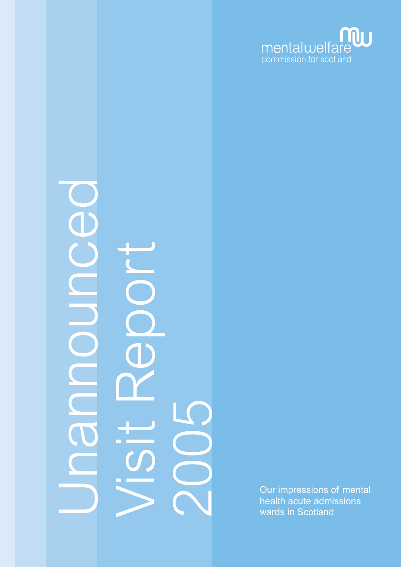

# Unannounced Visit Report 2005

Our impressions of mental health acute admissions wards in Scotland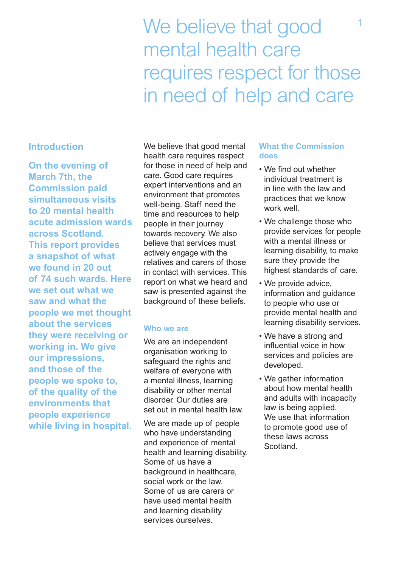## We believe that good mental health care requires respect for those in need of help and care

### **Introduction**

**On the evening of March 7th, the Commission paid simultaneous visits to 20 mental health acute admission wards across Scotland. This report provides a snapshot of what we found in 20 out of 74 such wards. Here we set out what we saw and what the people we met thought about the services they were receiving or working in. We give our impressions, and those of the people we spoke to, of the quality of the environments that people experience while living in hospital.** We believe that good mental health care requires respect for those in need of help and care. Good care requires expert interventions and an environment that promotes well-being. Staff need the time and resources to help people in their journey towards recovery. We also believe that services must actively engage with the relatives and carers of those in contact with services. This report on what we heard and saw is presented against the background of these beliefs.

### **Who we are**

We are an independent organisation working to safeguard the rights and welfare of everyone with a mental illness, learning disability or other mental disorder. Our duties are set out in mental health law.

We are made up of people who have understanding and experience of mental health and learning disability. Some of us have a background in healthcare, social work or the law. Some of us are carers or have used mental health and learning disability services ourselves.

### **What the Commission does**

- We find out whether individual treatment is in line with the law and practices that we know work well.
- We challenge those who provide services for people with a mental illness or learning disability, to make sure they provide the highest standards of care.
- We provide advice, information and guidance to people who use or provide mental health and learning disability services.
- We have a strong and influential voice in how services and policies are developed.
- We gather information about how mental health and adults with incapacity law is being applied. We use that information to promote good use of these laws across Scotland.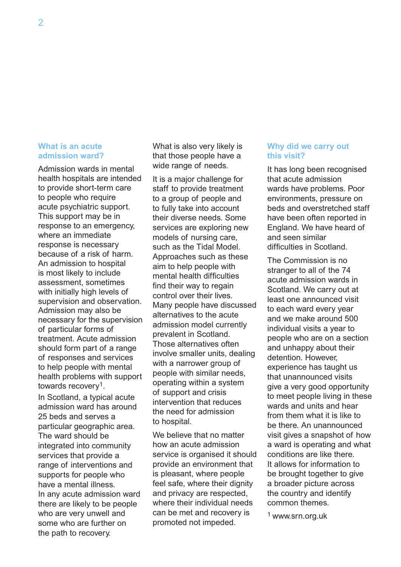### **What is an acute admission ward?**

Admission wards in mental health hospitals are intended to provide short-term care to people who require acute psychiatric support. This support may be in response to an emergency, where an immediate response is necessary because of a risk of harm. An admission to hospital is most likely to include assessment, sometimes with initially high levels of supervision and observation. Admission may also be necessary for the supervision of particular forms of treatment. Acute admission should form part of a range of responses and services to help people with mental health problems with support towards recovery1. In Scotland, a typical acute admission ward has around 25 beds and serves a particular geographic area. The ward should be

integrated into community services that provide a range of interventions and supports for people who have a mental illness. In any acute admission ward there are likely to be people who are very unwell and some who are further on the path to recovery.

What is also very likely is that those people have a wide range of needs.

It is a major challenge for staff to provide treatment to a group of people and to fully take into account their diverse needs. Some services are exploring new models of nursing care, such as the Tidal Model. Approaches such as these aim to help people with mental health difficulties find their way to regain control over their lives. Many people have discussed alternatives to the acute admission model currently prevalent in Scotland. Those alternatives often involve smaller units, dealing with a narrower group of people with similar needs, operating within a system of support and crisis intervention that reduces the need for admission to hospital.

We believe that no matter how an acute admission service is organised it should provide an environment that is pleasant, where people feel safe, where their dignity and privacy are respected, where their individual needs can be met and recovery is promoted not impeded.

### **Why did we carry out this visit?**

It has long been recognised that acute admission wards have problems. Poor environments, pressure on beds and overstretched staff have been often reported in England. We have heard of and seen similar difficulties in Scotland.

The Commission is no stranger to all of the 74 acute admission wards in Scotland. We carry out at least one announced visit to each ward every year and we make around 500 individual visits a year to people who are on a section and unhappy about their detention. However, experience has taught us that unannounced visits give a very good opportunity to meet people living in these wards and units and hear from them what it is like to be there. An unannounced visit gives a snapshot of how a ward is operating and what conditions are like there. It allows for information to be brought together to give a broader picture across the country and identify common themes.

1 www.srn.org.uk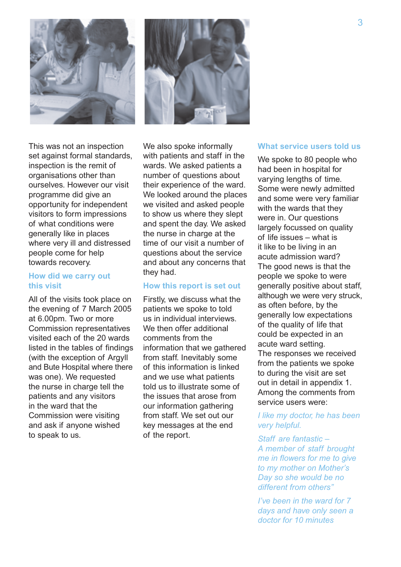



This was not an inspection set against formal standards, inspection is the remit of organisations other than ourselves. However our visit programme did give an opportunity for independent visitors to form impressions of what conditions were generally like in places where very ill and distressed people come for help towards recovery.

### **How did we carry out this visit**

All of the visits took place on the evening of 7 March 2005 at 6.00pm. Two or more Commission representatives visited each of the 20 wards listed in the tables of findings (with the exception of Argyll and Bute Hospital where there was one). We requested the nurse in charge tell the patients and any visitors in the ward that the Commission were visiting and ask if anyone wished to speak to us.

We also spoke informally with patients and staff in the wards. We asked patients a number of questions about their experience of the ward. We looked around the places we visited and asked people to show us where they slept and spent the day. We asked the nurse in charge at the time of our visit a number of questions about the service and about any concerns that they had.

### **How this report is set out**

Firstly, we discuss what the patients we spoke to told us in individual interviews. We then offer additional comments from the information that we gathered from staff. Inevitably some of this information is linked and we use what patients told us to illustrate some of the issues that arose from our information gathering from staff. We set out our key messages at the end of the report.

### **What service users told us**

We spoke to 80 people who had been in hospital for varying lengths of time. Some were newly admitted and some were very familiar with the wards that they were in. Our questions largely focussed on quality of life issues – what is it like to be living in an acute admission ward? The good news is that the people we spoke to were generally positive about staff, although we were very struck, as often before, by the generally low expectations of the quality of life that could be expected in an acute ward setting. The responses we received from the patients we spoke to during the visit are set out in detail in appendix 1. Among the comments from service users were:

### *I like my doctor, he has been very helpful.*

*Staff are fantastic – A member of staff brought me in flowers for me to give to my mother on Mother's Day so she would be no different from others"*

*I've been in the ward for 7 days and have only seen a doctor for 10 minutes*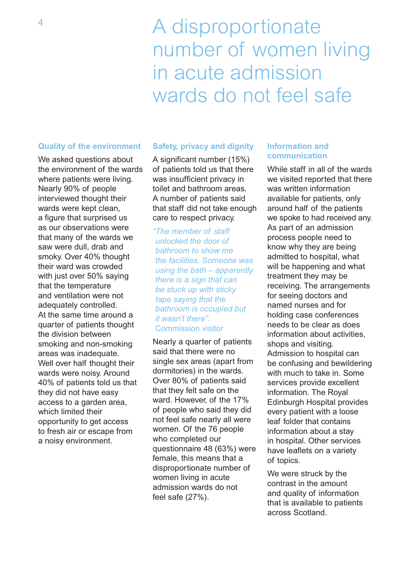A disproportionate number of women living in acute admission wards do not feel safe

### **Quality of the environment**

We asked questions about the environment of the wards where patients were living. Nearly 90% of people interviewed thought their wards were kept clean, a figure that surprised us as our observations were that many of the wards we saw were dull, drab and smoky. Over 40% thought their ward was crowded with just over 50% saying that the temperature and ventilation were not adequately controlled. At the same time around a quarter of patients thought the division between smoking and non-smoking areas was inadequate. Well over half thought their wards were noisy. Around 40% of patients told us that they did not have easy access to a garden area, which limited their opportunity to get access to fresh air or escape from a noisy environment.

### **Safety, privacy and dignity**

A significant number (15%) of patients told us that there was insufficient privacy in toilet and bathroom areas. A number of patients said that staff did not take enough care to respect privacy.

*"The member of staff unlocked the door of bathroom to show me the facilities. Someone was using the bath – apparently there is a sign that can be stuck up with sticky tape saying that the bathroom is occupied but it wasn't there".* Commission visitor

Nearly a quarter of patients said that there were no single sex areas (apart from dormitories) in the wards. Over 80% of patients said that they felt safe on the ward. However, of the 17% of people who said they did not feel safe nearly all were women. Of the 76 people who completed our questionnaire 48 (63%) were female, this means that a disproportionate number of women living in acute admission wards do not feel safe (27%).

### **Information and communication**

While staff in all of the wards we visited reported that there was written information available for patients, only around half of the patients we spoke to had received any. As part of an admission process people need to know why they are being admitted to hospital, what will be happening and what treatment they may be receiving. The arrangements for seeing doctors and named nurses and for holding case conferences needs to be clear as does information about activities, shops and visiting. Admission to hospital can be confusing and bewildering with much to take in. Some services provide excellent information. The Royal Edinburgh Hospital provides every patient with a loose leaf folder that contains information about a stay in hospital. Other services have leaflets on a variety of topics.

We were struck by the contrast in the amount and quality of information that is available to patients across Scotland.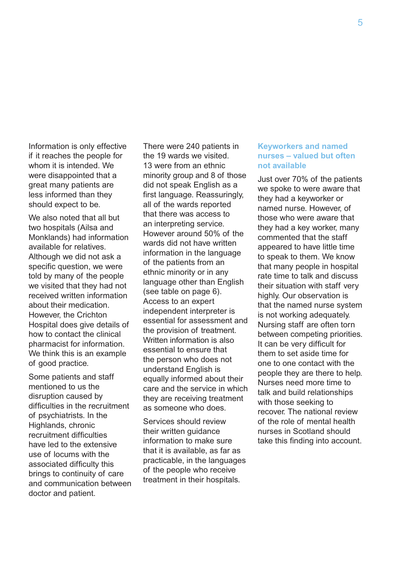Information is only effective if it reaches the people for whom it is intended. We were disappointed that a great many patients are less informed than they should expect to be.

We also noted that all but two hospitals (Ailsa and Monklands) had information available for relatives. Although we did not ask a specific question, we were told by many of the people we visited that they had not received written information about their medication. However, the Crichton Hospital does give details of how to contact the clinical pharmacist for information. We think this is an example of good practice.

Some patients and staff mentioned to us the disruption caused by difficulties in the recruitment of psychiatrists. In the Highlands, chronic recruitment difficulties have led to the extensive use of locums with the associated difficulty this brings to continuity of care and communication between doctor and patient.

There were 240 patients in the 19 wards we visited. 13 were from an ethnic minority group and 8 of those did not speak English as a first language. Reassuringly, all of the wards reported that there was access to an interpreting service. However around 50% of the wards did not have written information in the language of the patients from an ethnic minority or in any language other than English (see table on page 6). Access to an expert independent interpreter is essential for assessment and the provision of treatment. Written information is also essential to ensure that the person who does not understand English is equally informed about their care and the service in which they are receiving treatment as someone who does.

Services should review their written guidance information to make sure that it is available, as far as practicable, in the languages of the people who receive treatment in their hospitals.

### **Keyworkers and named nurses – valued but often not available**

Just over 70% of the patients we spoke to were aware that they had a keyworker or named nurse. However, of those who were aware that they had a key worker, many commented that the staff appeared to have little time to speak to them. We know that many people in hospital rate time to talk and discuss their situation with staff very highly. Our observation is that the named nurse system is not working adequately. Nursing staff are often torn between competing priorities. It can be very difficult for them to set aside time for one to one contact with the people they are there to help. Nurses need more time to talk and build relationships with those seeking to recover. The national review of the role of mental health nurses in Scotland should take this finding into account.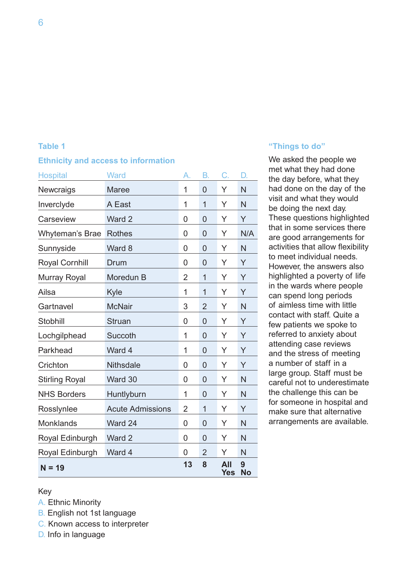### **Table 1**

### **Ethnicity and access to information**

| <b>Hospital</b>       | <b>Ward</b>             | A.             | В.             | С.                | D.             |
|-----------------------|-------------------------|----------------|----------------|-------------------|----------------|
| Newcraigs             | <b>Maree</b>            | 1              | $\overline{0}$ | Υ                 | N              |
| Inverclyde            | A East                  | 1              | $\overline{1}$ | Υ                 | N              |
| Carseview             | Ward 2                  | 0              | $\overline{0}$ | Y                 | Y              |
| Whyteman's Brae       | <b>Rothes</b>           | 0              | $\overline{0}$ | Υ                 | N/A            |
| Sunnyside             | Ward 8                  | 0              | $\overline{0}$ | Υ                 | N              |
| <b>Royal Cornhill</b> | Drum                    | 0              | $\overline{0}$ | Υ                 | Y              |
| Murray Royal          | Moredun B               | $\overline{2}$ | $\overline{1}$ | Υ                 | Y              |
| Ailsa                 | Kyle                    | 1              | $\mathbf 1$    | Υ                 | Y              |
| Gartnavel             | <b>McNair</b>           | 3              | $\overline{2}$ | Υ                 | N              |
| <b>Stobhill</b>       | <b>Struan</b>           | 0              | $\overline{0}$ | Υ                 | Y              |
| Lochgilphead          | <b>Succoth</b>          | 1              | $\overline{0}$ | Υ                 | Y              |
| Parkhead              | Ward 4                  | 1              | $\overline{0}$ | Y                 | Y              |
| Crichton              | <b>Nithsdale</b>        | 0              | $\overline{0}$ | Y                 | Y              |
| <b>Stirling Royal</b> | Ward 30                 | 0              | $\overline{0}$ | Υ                 | N              |
| <b>NHS Borders</b>    | Huntlyburn              | 1              | $\overline{0}$ | Υ                 | N              |
| Rosslynlee            | <b>Acute Admissions</b> | $\overline{2}$ | $\overline{1}$ | Υ                 | Y              |
| <b>Monklands</b>      | Ward 24                 | 0              | $\overline{0}$ | Υ                 | N              |
| Royal Edinburgh       | Ward 2                  | $\overline{0}$ | $\overline{0}$ | Υ                 | N              |
| Royal Edinburgh       | Ward 4                  | 0              | $\overline{2}$ | Υ                 | N              |
| $N = 19$              |                         | 13             | 8              | All<br><b>Yes</b> | 9<br><b>No</b> |

### **"Things to do"**

We asked the people we met what they had done the day before, what they had done on the day of the visit and what they would be doing the next day. These questions highlighted that in some services there are good arrangements for activities that allow flexibility to meet individual needs. However, the answers also highlighted a poverty of life in the wards where people can spend long periods of aimless time with little contact with staff. Quite a few patients we spoke to referred to anxiety about attending case reviews and the stress of meeting a number of staff in a large group. Staff must be careful not to underestimate the challenge this can be for someone in hospital and make sure that alternative arrangements are available.

### Key

- A. Ethnic Minority
- B. English not 1st language
- C. Known access to interpreter
- D. Info in language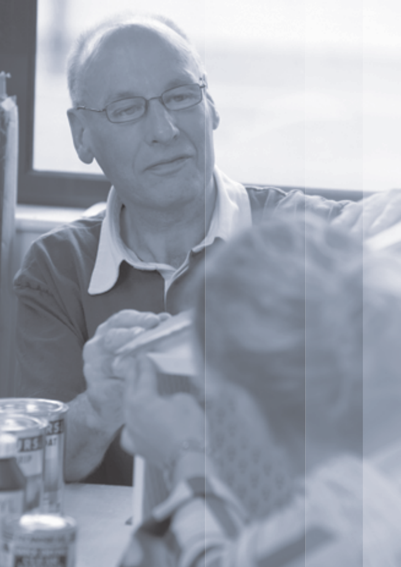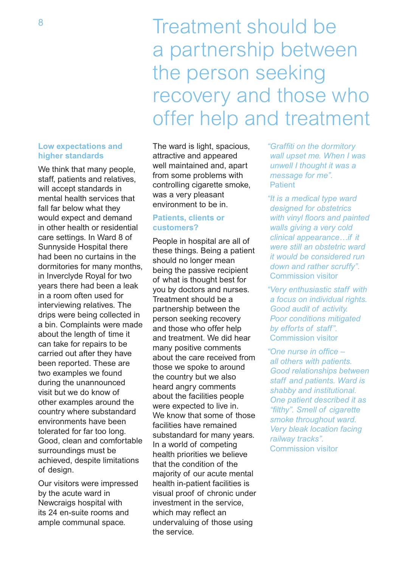### **Low expectations and higher standards**

We think that many people, staff, patients and relatives, will accept standards in mental health services that fall far below what they would expect and demand in other health or residential care settings. In Ward 8 of Sunnyside Hospital there had been no curtains in the dormitories for many months, in Inverclyde Royal for two years there had been a leak in a room often used for interviewing relatives. The drips were being collected in a bin. Complaints were made about the length of time it can take for repairs to be carried out after they have been reported. These are two examples we found during the unannounced visit but we do know of other examples around the country where substandard environments have been tolerated for far too long. Good, clean and comfortable surroundings must be achieved, despite limitations of design.

Our visitors were impressed by the acute ward in Newcraigs hospital with its 24 en-suite rooms and ample communal space.

The ward is light, spacious, attractive and appeared well maintained and, apart from some problems with controlling cigarette smoke, was a very pleasant environment to be in.

Treatment should be

the person seeking

a partnership between

recovery and those who

offer help and treatment

### **Patients, clients or customers?**

People in hospital are all of these things. Being a patient should no longer mean being the passive recipient of what is thought best for you by doctors and nurses. Treatment should be a partnership between the person seeking recovery and those who offer help and treatment. We did hear many positive comments about the care received from those we spoke to around the country but we also heard angry comments about the facilities people were expected to live in. We know that some of those facilities have remained substandard for many years. In a world of competing health priorities we believe that the condition of the majority of our acute mental health in-patient facilities is visual proof of chronic under investment in the service, which may reflect an undervaluing of those using the service.

*"Graffiti on the dormitory wall upset me. When I was unwell I thought it was a message for me".* **Patient** 

*"It is a medical type ward designed for obstetrics with vinyl floors and painted walls giving a very cold clinical appearance…if it were still an obstetric ward it would be considered run down and rather scruffy".* Commission visitor

*"Very enthusiastic staff with a focus on individual rights. Good audit of activity. Poor conditions mitigated by efforts of staff".* Commission visitor

*"One nurse in office – all others with patients. Good relationships between staff and patients. Ward is shabby and institutional. One patient described it as "filthy". Smell of cigarette smoke throughout ward. Very bleak location facing railway tracks".* Commission visitor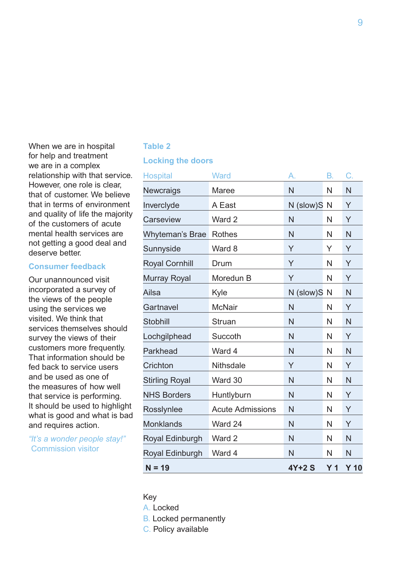When we are in hospital for help and treatment we are in a complex relationship with that service. However, one role is clear, that of customer. We believe that in terms of environment and quality of life the majority of the customers of acute mental health services are not getting a good deal and deserve better.

### **Consumer feedback**

Our unannounced visit incorporated a survey of the views of the people using the services we visited. We think that services themselves should survey the views of their customers more frequently. That information should be fed back to service users and be used as one of the measures of how well that service is performing. It should be used to highlight what is good and what is bad and requires action.

*"It's a wonder people stay!"* Commission visitor

### **Table 2**

### **Locking the doors**

| <b>Hospital</b>        | <b>Ward</b>             | А.        | В.             | С.              |
|------------------------|-------------------------|-----------|----------------|-----------------|
| Newcraigs              | Maree                   | N         | N              | N               |
| Inverclyde             | A East                  | N (slow)S | N              | Y               |
| Carseview              | Ward 2                  | N         | N              | Y               |
| <b>Whyteman's Brae</b> | <b>Rothes</b>           | N         | N              | N               |
| Sunnyside              | Ward 8                  | Y         | Y              | Y               |
| <b>Royal Cornhill</b>  | Drum                    | Y         | N              | Y               |
| <b>Murray Royal</b>    | Moredun B               | Y         | N              | Y               |
| Ailsa                  | Kyle                    | N (slow)S | N              | N               |
| Gartnavel              | <b>McNair</b>           | N         | N              | Y               |
| <b>Stobhill</b>        | <b>Struan</b>           | N         | N              | N               |
| Lochgilphead           | Succoth                 | N         | N              | Υ               |
| <b>Parkhead</b>        | Ward 4                  | N         | N              | N               |
| Crichton               | <b>Nithsdale</b>        | Y         | N              | Y               |
| <b>Stirling Royal</b>  | Ward 30                 | N         | N              | N               |
| <b>NHS Borders</b>     | Huntlyburn              | N         | N              | Y               |
| Rosslynlee             | <b>Acute Admissions</b> | N         | N              | Y               |
| <b>Monklands</b>       | Ward 24                 | N         | N              | Y               |
| Royal Edinburgh        | Ward 2                  | N         | N              | N               |
| Royal Edinburgh        | Ward 4                  | N         | N              | N               |
| $N = 19$               |                         | 4Y+2 S    | Y <sub>1</sub> | Y <sub>10</sub> |

Key

A. Locked

- **B.** Locked permanently
- C. Policy available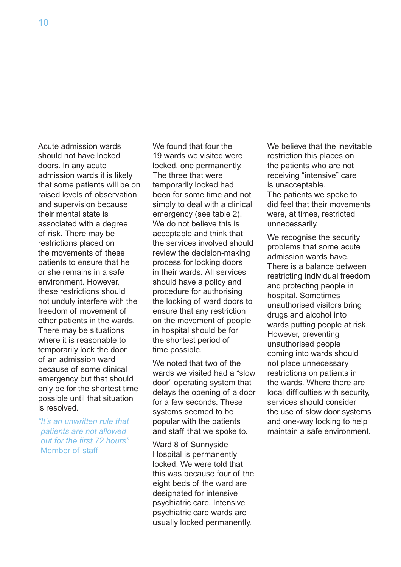Acute admission wards should not have locked doors. In any acute admission wards it is likely that some patients will be on raised levels of observation and supervision because their mental state is associated with a degree of risk. There may be restrictions placed on the movements of these patients to ensure that he or she remains in a safe environment. However, these restrictions should not unduly interfere with the freedom of movement of other patients in the wards. There may be situations where it is reasonable to temporarily lock the door of an admission ward because of some clinical emergency but that should only be for the shortest time possible until that situation is resolved.

*"It's an unwritten rule that patients are not allowed out for the first 72 hours"* Member of staff

We found that four the 19 wards we visited were locked, one permanently. The three that were temporarily locked had been for some time and not simply to deal with a clinical emergency (see table 2). We do not believe this is acceptable and think that the services involved should review the decision-making process for locking doors in their wards. All services should have a policy and procedure for authorising the locking of ward doors to ensure that any restriction on the movement of people in hospital should be for the shortest period of time possible.

We noted that two of the wards we visited had a "slow door" operating system that delays the opening of a door for a few seconds. These systems seemed to be popular with the patients and staff that we spoke to.

Ward 8 of Sunnyside Hospital is permanently locked. We were told that this was because four of the eight beds of the ward are designated for intensive psychiatric care. Intensive psychiatric care wards are usually locked permanently.

We believe that the inevitable restriction this places on the patients who are not receiving "intensive" care is unacceptable. The patients we spoke to did feel that their movements were, at times, restricted unnecessarily.

We recognise the security problems that some acute admission wards have. There is a balance between restricting individual freedom and protecting people in hospital. Sometimes unauthorised visitors bring drugs and alcohol into wards putting people at risk. However, preventing unauthorised people coming into wards should not place unnecessary restrictions on patients in the wards. Where there are local difficulties with security, services should consider the use of slow door systems and one-way locking to help maintain a safe environment.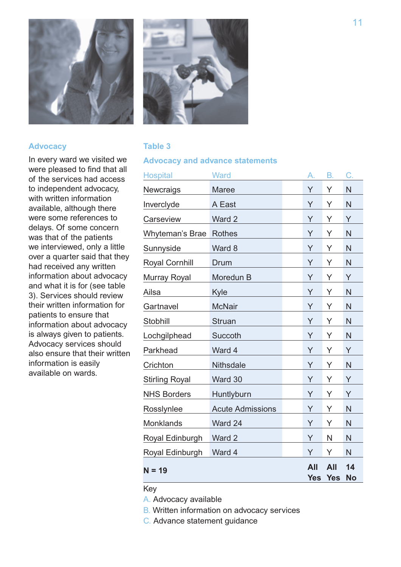

### **Advocacy**

In every ward we visited we were pleased to find that all of the services had access to independent advocacy, with written information available, although there were some references to delays. Of some concern was that of the patients we interviewed, only a little over a quarter said that they had received any written information about advocacy and what it is for (see table 3). Services should review their written information for patients to ensure that information about advocacy is always given to patients. Advocacy services should also ensure that their written information is easily available on wards.



### **Table 3**

### **Advocacy and advance statements**

| <b>Hospital</b>       | <b>Ward</b>             |                   | A.                | В.              | C. |
|-----------------------|-------------------------|-------------------|-------------------|-----------------|----|
| Newcraigs             | <b>Maree</b>            |                   | Y                 | Υ               | N  |
| Inverclyde            | A East                  |                   | Y                 | Υ               | N  |
| Carseview             | Ward 2                  |                   | Y                 | Y               | Y  |
| Whyteman's Brae       | <b>Rothes</b>           |                   | Y                 | Υ               | N  |
| Sunnyside             | Ward 8                  |                   | Y                 | Υ               | N  |
| <b>Royal Cornhill</b> | Drum                    |                   | Υ                 | Υ               | N  |
| Murray Royal          | Moredun B               |                   | Υ                 | Y               | Y  |
| Ailsa                 | Kyle                    |                   | Y                 | Υ               | N  |
| Gartnavel             | <b>McNair</b>           |                   | Y                 | Υ               | N  |
| <b>Stobhill</b>       | Struan                  |                   | Υ                 | Υ               | N  |
| Lochgilphead          | Succoth                 |                   | Y                 | Υ               | N  |
| Parkhead              | Ward 4                  |                   | Y                 | Υ               | Y  |
| Crichton              | <b>Nithsdale</b>        |                   | Υ                 | Υ               | N  |
| <b>Stirling Royal</b> | Ward 30                 |                   | Υ                 | Υ               | Y  |
| <b>NHS Borders</b>    | Huntlyburn              |                   | Υ                 | Υ               | Y  |
| Rosslynlee            | <b>Acute Admissions</b> |                   | Y                 | Υ               | N  |
| <b>Monklands</b>      | Ward 24                 |                   | Υ                 | Y               | N  |
| Royal Edinburgh       | Ward 2                  |                   | Υ                 | N               | N  |
| Royal Edinburgh       | Ward 4                  |                   | Y                 | Y               | N  |
| $N = 19$              |                         | All<br><b>Yes</b> | All<br><b>Yes</b> | 14<br><b>No</b> |    |

Key

A. Advocacy available

B. Written information on advocacy services

C. Advance statement guidance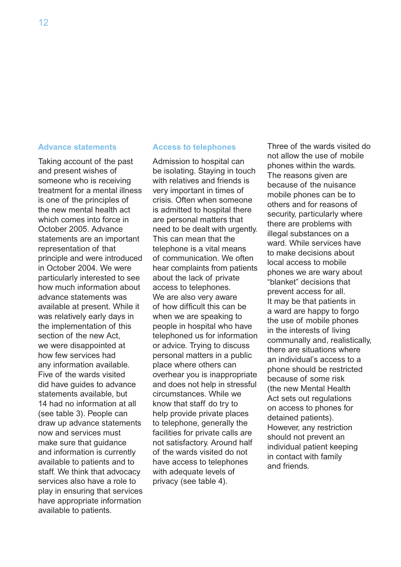### **Advance statements**

Taking account of the past and present wishes of someone who is receiving treatment for a mental illness is one of the principles of the new mental health act which comes into force in October 2005. Advance statements are an important representation of that principle and were introduced in October 2004. We were particularly interested to see how much information about advance statements was available at present. While it was relatively early days in the implementation of this section of the new Act, we were disappointed at how few services had any information available. Five of the wards visited did have guides to advance statements available, but 14 had no information at all (see table 3). People can draw up advance statements now and services must make sure that guidance and information is currently available to patients and to staff. We think that advocacy services also have a role to play in ensuring that services have appropriate information available to patients.

### **Access to telephones**

Admission to hospital can be isolating. Staying in touch with relatives and friends is very important in times of crisis. Often when someone is admitted to hospital there are personal matters that need to be dealt with urgently. This can mean that the telephone is a vital means of communication. We often hear complaints from patients about the lack of private access to telephones. We are also very aware of how difficult this can be when we are speaking to people in hospital who have telephoned us for information or advice. Trying to discuss personal matters in a public place where others can overhear you is inappropriate and does not help in stressful circumstances. While we know that staff do try to help provide private places to telephone, generally the facilities for private calls are not satisfactory. Around half of the wards visited do not have access to telephones with adequate levels of privacy (see table 4).

Three of the wards visited do not allow the use of mobile phones within the wards. The reasons given are because of the nuisance mobile phones can be to others and for reasons of security, particularly where there are problems with illegal substances on a ward. While services have to make decisions about local access to mobile phones we are wary about "blanket" decisions that prevent access for all. It may be that patients in a ward are happy to forgo the use of mobile phones in the interests of living communally and, realistically, there are situations where an individual's access to a phone should be restricted because of some risk (the new Mental Health Act sets out regulations on access to phones for detained patients). However, any restriction should not prevent an individual patient keeping in contact with family and friends.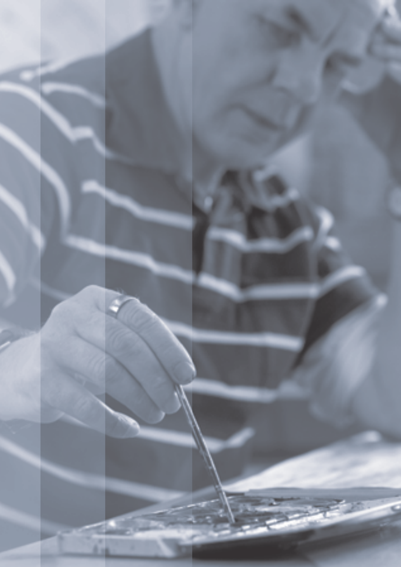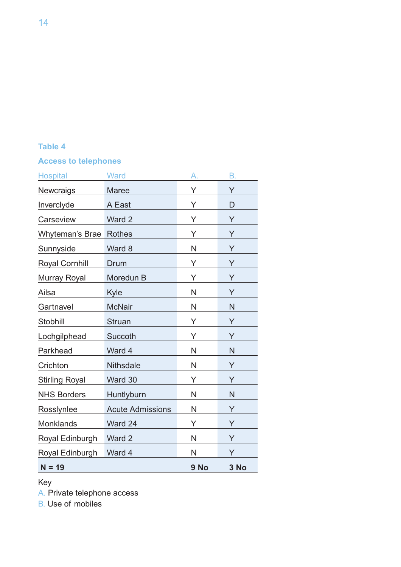### **Table 4**

### **Access to telephones**

| <b>Hospital</b>       | <b>Ward</b>             | A.   | В.   |
|-----------------------|-------------------------|------|------|
| <b>Newcraigs</b>      | <b>Maree</b>            | Υ    | Y    |
| Inverclyde            | A East                  | Υ    | D    |
| Carseview             | Ward 2                  | Υ    | Υ    |
| Whyteman's Brae       | <b>Rothes</b>           | Υ    | Y    |
| Sunnyside             | Ward 8                  | N    | Y    |
| <b>Royal Cornhill</b> | Drum                    | Υ    | Υ    |
| <b>Murray Royal</b>   | Moredun B               | Υ    | Υ    |
| Ailsa                 | Kyle                    | N    | Y    |
| Gartnavel             | <b>McNair</b>           | N    | N    |
| Stobhill              | <b>Struan</b>           | Υ    | Υ    |
| Lochgilphead          | Succoth                 | Υ    | Y    |
| Parkhead              | Ward 4                  | N    | N    |
| Crichton              | <b>Nithsdale</b>        | N    | Υ    |
| <b>Stirling Royal</b> | Ward 30                 | Y    | Ÿ    |
| <b>NHS Borders</b>    | Huntlyburn              | N    | N    |
| Rosslynlee            | <b>Acute Admissions</b> | N    | Y    |
| <b>Monklands</b>      | Ward 24                 | Υ    | Y    |
| Royal Edinburgh       | Ward 2                  | N    | Υ    |
| Royal Edinburgh       | Ward 4                  | N    | Υ    |
| $N = 19$              |                         | 9 No | 3 No |

Key

A. Private telephone access

B. Use of mobiles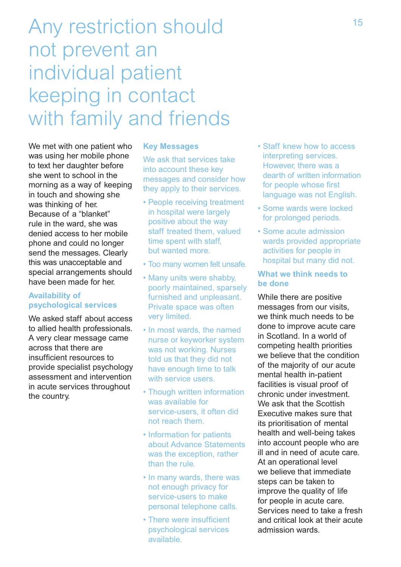# Any restriction should not prevent an individual patient keeping in contact with family and friends

We met with one patient who was using her mobile phone to text her daughter before she went to school in the morning as a way of keeping in touch and showing she was thinking of her. Because of a "blanket" rule in the ward, she was denied access to her mobile phone and could no longer send the messages. Clearly this was unacceptable and special arrangements should have been made for her.

### **Availability of psychological services**

We asked staff about access to allied health professionals. A very clear message came across that there are insufficient resources to provide specialist psychology assessment and intervention in acute services throughout the country.

### **Key Messages**

We ask that services take into account these key messages and consider how they apply to their services.

- People receiving treatment in hospital were largely positive about the way staff treated them, valued time spent with staff, but wanted more.
- Too many women felt unsafe.
- Many units were shabby, poorly maintained, sparsely furnished and unpleasant. Private space was often very limited.
- In most wards, the named nurse or keyworker system was not working. Nurses told us that they did not have enough time to talk with service users.
- Though written information was available for service-users, it often did not reach them.
- Information for patients about Advance Statements was the exception, rather than the rule.
- In many wards, there was not enough privacy for service-users to make personal telephone calls.
- There were insufficient psychological services available.
- Staff knew how to access interpreting services. However, there was a dearth of written information for people whose first language was not English.
- Some wards were locked for prolonged periods.
- Some acute admission wards provided appropriate activities for people in hospital but many did not.

### **What we think needs to be done**

While there are positive messages from our visits, we think much needs to be done to improve acute care in Scotland. In a world of competing health priorities we believe that the condition of the majority of our acute mental health in-patient facilities is visual proof of chronic under investment. We ask that the Scottish Executive makes sure that its prioritisation of mental health and well-being takes into account people who are ill and in need of acute care. At an operational level we believe that immediate steps can be taken to improve the quality of life for people in acute care. Services need to take a fresh and critical look at their acute admission wards.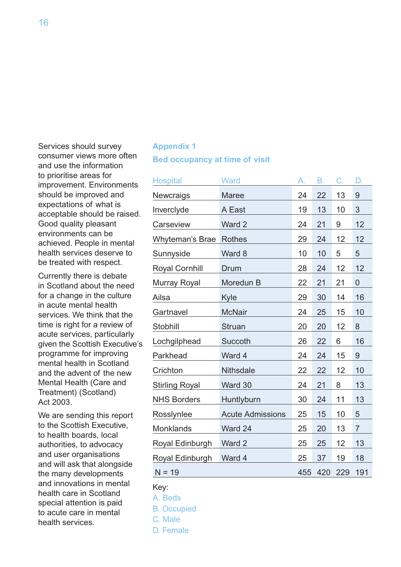Services should survey consumer views more often and use the information to prioritise areas for improvement. Environments should be improved and expectations of what is acceptable should be raised. Good quality pleasant environments can be achieved. People in mental health services deserve to be treated with respect.

Currently there is debate in Scotland about the need for a change in the culture in acute mental health services. We think that the time is right for a review of acute services, particularly given the Scottish Executive's programme for improving mental health in Scotland and the advent of the new Mental Health (Care and Treatment) (Scotland) Act 2003.

We are sending this report to the Scottish Executive, to health boards, local authorities, to advocacy and user organisations and will ask that alongside the many developments and innovations in mental health care in Scotland special attention is paid to acute care in mental health services.

### **Appendix 1 Bed occupancy at time of visit**

| <b>Hospital</b>       | <b>Ward</b>             | A.  | В.  | C.  | D.               |
|-----------------------|-------------------------|-----|-----|-----|------------------|
| <b>Newcraigs</b>      | <b>Maree</b>            | 24  | 22  | 13  | $9\,$            |
| Inverclyde            | A East                  | 19  | 13  | 10  | 3                |
| Carseview             | Ward 2                  | 24  | 21  | 9   | 12               |
| Whyteman's Brae       | <b>Rothes</b>           | 29  | 24  | 12  | 12               |
| Sunnyside             | Ward 8                  | 10  | 10  | 5   | 5                |
| Royal Cornhill        | Drum                    | 28  | 24  | 12  | 12               |
| Murray Royal          | Moredun B               | 22  | 21  | 21  | $\boldsymbol{0}$ |
| Ailsa                 | Kyle                    | 29  | 30  | 14  | 16               |
| Gartnavel             | <b>McNair</b>           | 24  | 25  | 15  | 10               |
| Stobhill              | <b>Struan</b>           | 20  | 20  | 12  | 8                |
| Lochgilphead          | Succoth                 | 26  | 22  | 6   | 16               |
| Parkhead              | Ward 4                  | 24  | 24  | 15  | 9                |
| Crichton              | <b>Nithsdale</b>        | 22  | 22  | 12  | 10               |
| <b>Stirling Royal</b> | Ward 30                 | 24  | 21  | 8   | 13               |
| <b>NHS Borders</b>    | Huntlyburn              | 30  | 24  | 11  | 13               |
| Rosslynlee            | <b>Acute Admissions</b> | 25  | 15  | 10  | 5                |
| <b>Monklands</b>      | Ward 24                 | 25  | 20  | 13  | $\overline{7}$   |
| Royal Edinburgh       | Ward 2                  | 25  | 25  | 12  | 13               |
| Royal Edinburgh       | Ward 4                  | 25  | 37  | 19  | 18               |
| $N = 19$              |                         | 455 | 420 | 229 | 191              |

### Key:

A. Beds

B. Occupied

- C. Male
- D. Female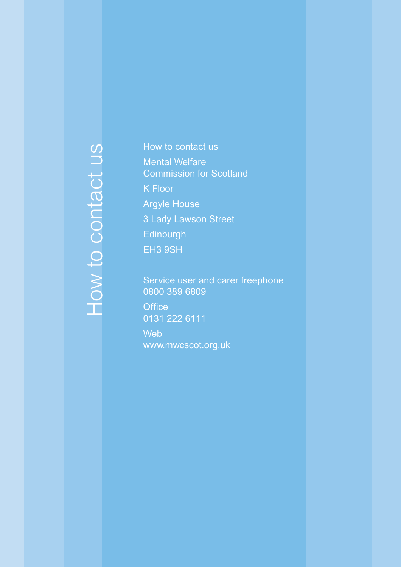# How to contact us How to contact us

How to contact us Mental Welfare Commission for Scotland K Floor Argyle House 3 Lady Lawson Street **Edinburgh** EH3 9SH

Service user and carer freephone 0800 389 6809

**Office** 0131 222 6111

Web www.mwcscot.org.uk